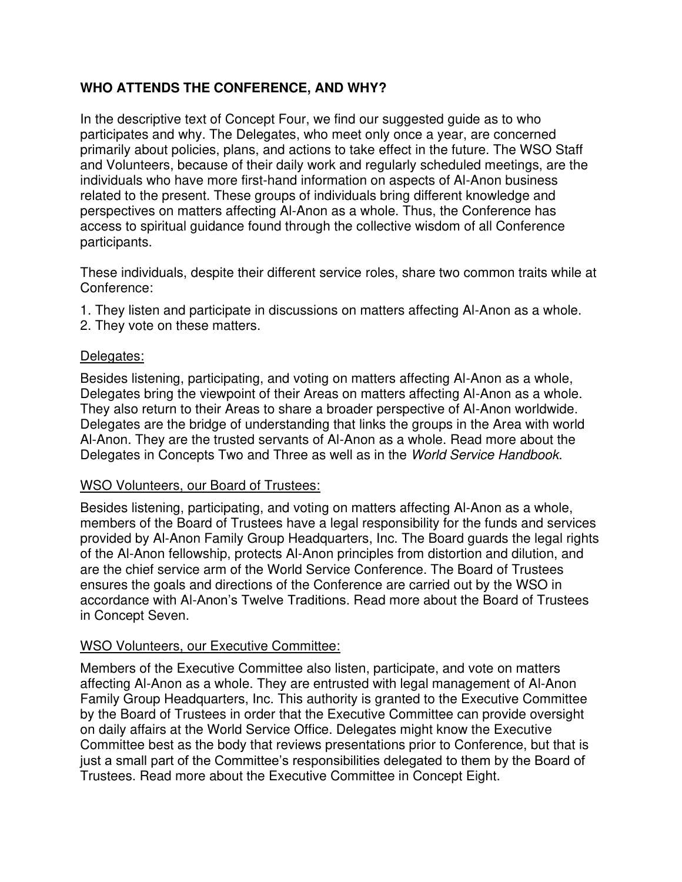# **WHO ATTENDS THE CONFERENCE, AND WHY?**

In the descriptive text of Concept Four, we find our suggested guide as to who participates and why. The Delegates, who meet only once a year, are concerned primarily about policies, plans, and actions to take effect in the future. The WSO Staff and Volunteers, because of their daily work and regularly scheduled meetings, are the individuals who have more first-hand information on aspects of Al-Anon business related to the present. These groups of individuals bring different knowledge and perspectives on matters affecting Al-Anon as a whole. Thus, the Conference has access to spiritual guidance found through the collective wisdom of all Conference participants.

These individuals, despite their different service roles, share two common traits while at Conference:

- 1. They listen and participate in discussions on matters affecting Al-Anon as a whole.
- 2. They vote on these matters.

### Delegates:

Besides listening, participating, and voting on matters affecting Al-Anon as a whole, Delegates bring the viewpoint of their Areas on matters affecting Al-Anon as a whole. They also return to their Areas to share a broader perspective of Al-Anon worldwide. Delegates are the bridge of understanding that links the groups in the Area with world Al-Anon. They are the trusted servants of Al-Anon as a whole. Read more about the Delegates in Concepts Two and Three as well as in the World Service Handbook.

#### WSO Volunteers, our Board of Trustees:

Besides listening, participating, and voting on matters affecting Al-Anon as a whole, members of the Board of Trustees have a legal responsibility for the funds and services provided by Al-Anon Family Group Headquarters, Inc. The Board guards the legal rights of the Al-Anon fellowship, protects Al-Anon principles from distortion and dilution, and are the chief service arm of the World Service Conference. The Board of Trustees ensures the goals and directions of the Conference are carried out by the WSO in accordance with Al-Anon's Twelve Traditions. Read more about the Board of Trustees in Concept Seven.

## WSO Volunteers, our Executive Committee:

Members of the Executive Committee also listen, participate, and vote on matters affecting Al-Anon as a whole. They are entrusted with legal management of Al-Anon Family Group Headquarters, Inc. This authority is granted to the Executive Committee by the Board of Trustees in order that the Executive Committee can provide oversight on daily affairs at the World Service Office. Delegates might know the Executive Committee best as the body that reviews presentations prior to Conference, but that is just a small part of the Committee's responsibilities delegated to them by the Board of Trustees. Read more about the Executive Committee in Concept Eight.